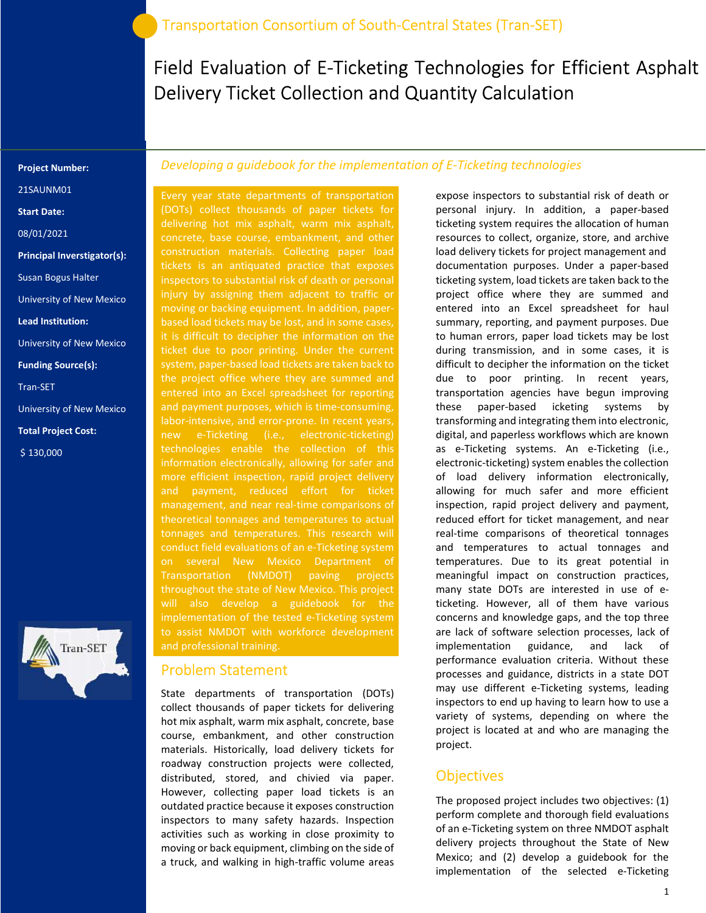Field Evaluation of E-Ticketing Technologies for Efficient Asphalt Delivery Ticket Collection and Quantity Calculation

#### Project Number:

21SAUNM01

Start Date:

08/01/2021

Principal Inverstigator(s):

Susan Bogus Halter

University of New Mexico

Lead Institution:

University of New Mexico

Funding Source(s):

Tran-SET

University of New Mexico

Total Project Cost:

\$ 130,000



### Developing a guidebook for the implementation of E-Ticketing technologies

Every year state departments of transportation (DOTs) collect thousands of paper tickets for delivering hot mix asphalt, warm mix asphalt, concrete, base course, embankment, and other construction materials. Collecting paper load tickets is an antiquated practice that exposes injury by assigning them adjacent to traffic or moving or backing equipment. In addition, paperbased load tickets may be lost, and in some cases, ticket due to poor printing. Under the current system, paper-based load tickets are taken back to the project office where they are summed and entered into an Excel spreadsheet for reporting and payment purposes, which is time-consuming, labor-intensive, and error-prone. In recent years, new e-Ticketing (i.e., electronic-ticketing) technologies enable the collection of this information electronically, allowing for safer and more efficient inspection, rapid project delivery management, and near real-time comparisons of theoretical tonnages and temperatures to actual tonnages and temperatures. This research will conduct field evaluations of an e-Ticketing system on several New Mexico Department of Transportation (NMDOT) paving projects throughout the state of New Mexico. This project implementation of the tested e-Ticketing system and professional training.

#### Problem Statement

State departments of transportation (DOTs) collect thousands of paper tickets for delivering hot mix asphalt, warm mix asphalt, concrete, base course, embankment, and other construction materials. Historically, load delivery tickets for roadway construction projects were collected, distributed, stored, and chivied via paper. However, collecting paper load tickets is an outdated practice because it exposes construction inspectors to many safety hazards. Inspection activities such as working in close proximity to moving or back equipment, climbing on the side of a truck, and walking in high-traffic volume areas

expose inspectors to substantial risk of death or personal injury. In addition, a paper-based ticketing system requires the allocation of human resources to collect, organize, store, and archive load delivery tickets for project management and documentation purposes. Under a paper-based ticketing system, load tickets are taken back to the project office where they are summed and entered into an Excel spreadsheet for haul summary, reporting, and payment purposes. Due to human errors, paper load tickets may be lost during transmission, and in some cases, it is difficult to decipher the information on the ticket due to poor printing. In recent years, transportation agencies have begun improving these paper-based icketing systems by transforming and integrating them into electronic, digital, and paperless workflows which are known as e-Ticketing systems. An e-Ticketing (i.e., electronic-ticketing) system enables the collection of load delivery information electronically, allowing for much safer and more efficient inspection, rapid project delivery and payment, reduced effort for ticket management, and near real-time comparisons of theoretical tonnages and temperatures to actual tonnages and temperatures. Due to its great potential in meaningful impact on construction practices, many state DOTs are interested in use of eticketing. However, all of them have various concerns and knowledge gaps, and the top three are lack of software selection processes, lack of implementation guidance, and lack of performance evaluation criteria. Without these processes and guidance, districts in a state DOT may use different e-Ticketing systems, leading inspectors to end up having to learn how to use a variety of systems, depending on where the project is located at and who are managing the project.

### **Objectives**

The proposed project includes two objectives: (1) perform complete and thorough field evaluations of an e-Ticketing system on three NMDOT asphalt delivery projects throughout the State of New Mexico; and (2) develop a guidebook for the implementation of the selected e-Ticketing